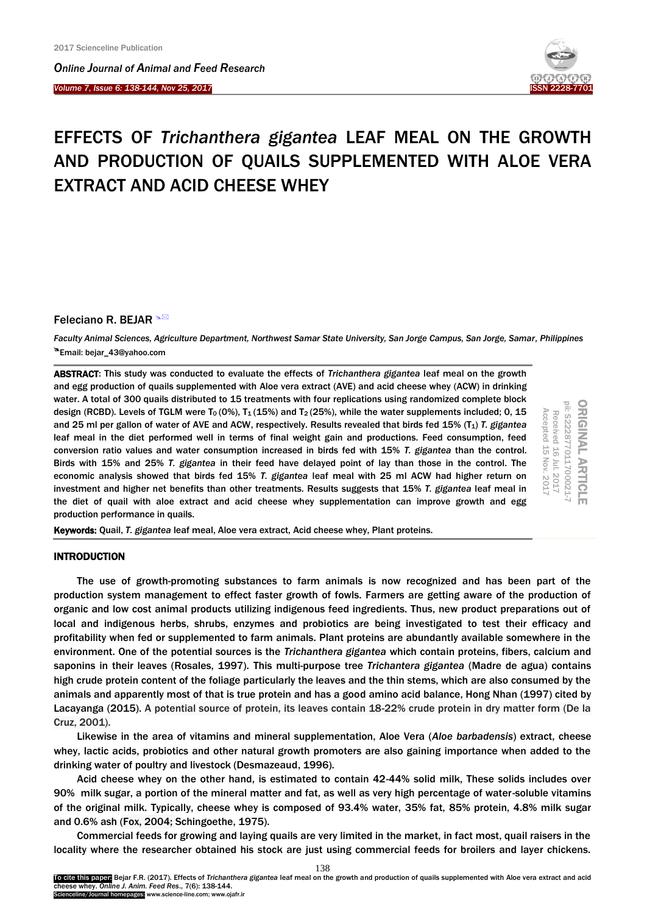I

*Online Journal of A[nimal and](http://www.ojafr.ir/main/) Feed Research Volume 7, Issue 6: 138-144, Nov 25, 2017* 



# EFFECTS OF *Trichanthera gigantea* LEAF MEAL ON THE GROWTH AND PRODUCTION OF QUAILS SUPPLEMENTED WITH ALOE VERA EXTRACT AND ACID CHEESE WHEY

# Feleciano R. BEJAR <sup>N</sup>

*Faculty Animal Sciences, Agriculture Department, Northwest Samar State University, San Jorge Campus, San Jorge, Samar, Philippines* Email: bejar\_43@yahoo.com

ABSTRACT: This study was conducted to evaluate the effects of *Trichanthera gigantea* leaf meal on the growth and egg production of quails supplemented with Aloe vera extract (AVE) and acid cheese whey (ACW) in drinking water. A total of 300 quails distributed to 15 treatments with four replications using randomized complete block design (RCBD). Levels of TGLM were T<sub>0</sub> (0%), T<sub>1</sub> (15%) and T<sub>2</sub> (25%), while the water supplements included; 0, 15 and 25 ml per gallon of water of AVE and ACW, respectively. Results revealed that birds fed 15% (T<sub>1</sub>) T. gigantea leaf meal in the diet performed well in terms of final weight gain and productions. Feed consumption, feed conversion ratio values and water consumption increased in birds fed with 15% *T. gigantea* than the control. Birds with 15% and 25% *T. gigantea* in their feed have delayed point of lay than those in the control. The economic analysis showed that birds fed 15% *T. gigantea* leaf meal with 25 ml ACW had higher return on investment and higher net benefits than other treatments. Results suggests that 15% *T. gigantea* leaf meal in the diet of quail with aloe extract and acid cheese whey supplementation can improve growth and egg production performance in quails.

| Accepted<br>Received<br>٣<br>⊢<br>ĊЛ<br>Ō.<br>Nov.<br>È<br>×<br>┕<br>⇨<br>5 | ਠ<br>--<br>$-$<br>٠<br>٠<br>Ğ<br>┕ |  |
|-----------------------------------------------------------------------------|------------------------------------|--|
|-----------------------------------------------------------------------------|------------------------------------|--|

Keywords: Quail, *T. gigantea* leaf meal, Aloe vera extract, Acid cheese whey, Plant proteins.

# INTRODUCTION

The use of growth-promoting substances to farm animals is now recognized and has been part of the production system management to effect faster growth of fowls. Farmers are getting aware of the production of organic and low cost animal products utilizing indigenous feed ingredients. Thus, new product preparations out of local and indigenous herbs, shrubs, enzymes and probiotics are being investigated to test their efficacy and profitability when fed or supplemented to farm animals. Plant proteins are abundantly available somewhere in the environment. One of the potential sources is the *Trichanthera gigantea* which contain proteins, fibers, calcium and saponins in their leaves [\(Rosales, 1997\).](#page-5-0) This multi-purpose tree *Trichantera gigantea* (Madre de agua) contains high crude protein content of the foliage particularly the leaves and the thin stems, which are also consumed by the animals and apparently most of that is true protein and has a good amino acid balance, [Hong Nhan](#page-5-0) (1997) cited by [Lacayanga \(2015\).](#page-5-0) A potential source of protein, its leaves contain 18-22% crude protein in dry matter form (De la [Cruz, 2001\).](#page-5-0)

Likewise in the area of vitamins and mineral supplementation, Aloe Vera (*Aloe barbadensis*) extract, cheese whey, lactic acids, probiotics and other natural growth promoters are also gaining importance when added to the drinking water of poultry and livestock [\(Desmazeaud, 1996\).](#page-5-0)

Acid cheese whey on the other hand, is estimated to contain 42-44% solid milk, These solids includes over 90% milk sugar, a portion of the mineral matter and fat, as well as very high percentage of water-soluble vitamins of the original milk. Typically, cheese whey is composed of 93.4% water, 35% fat, 85% protein, 4.8% milk sugar and 0.6% ash [\(Fox, 2004; Schingoethe, 1975\).](#page-5-0)

Commercial feeds for growing and laying quails are very limited in the market, in fact most, quail raisers in the locality where the researcher obtained his stock are just using commercial feeds for broilers and layer chickens.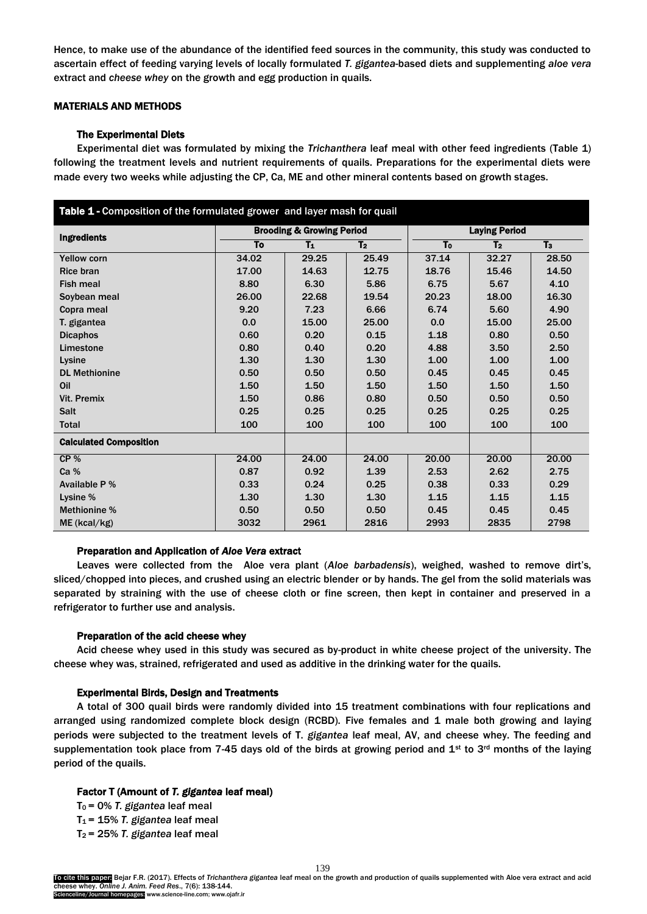Hence, to make use of the abundance of the identified feed sources in the community, this study was conducted to ascertain effect of feeding varying levels of locally formulated *T. gigantea*-based diets and supplementing *aloe vera* extract and *cheese whey* on the growth and egg production in quails.

# MATERIALS AND METHODS

# The Experimental Diets

Experimental diet was formulated by mixing the *Trichanthera* leaf meal with other feed ingredients (Table 1) following the treatment levels and nutrient requirements of quails. Preparations for the experimental diets were made every two weeks while adjusting the CP, Ca, ME and other mineral contents based on growth stages.

| Table 1 - Composition of the formulated grower and layer mash for quail |             |                                      |                |                      |                |       |  |  |  |
|-------------------------------------------------------------------------|-------------|--------------------------------------|----------------|----------------------|----------------|-------|--|--|--|
| Ingredients                                                             |             | <b>Brooding &amp; Growing Period</b> |                | <b>Laying Period</b> |                |       |  |  |  |
|                                                                         | To<br>$T_1$ |                                      | T <sub>2</sub> | T <sub>o</sub>       | T <sub>2</sub> | $T_3$ |  |  |  |
| <b>Yellow corn</b>                                                      | 34.02       | 29.25                                | 25.49          | 37.14                | 32.27          | 28.50 |  |  |  |
| <b>Rice bran</b>                                                        | 17.00       | 14.63                                | 12.75          | 18.76                | 15.46          | 14.50 |  |  |  |
| <b>Fish meal</b>                                                        | 8.80        | 6.30                                 | 5.86           | 6.75                 | 5.67           | 4.10  |  |  |  |
| Soybean meal                                                            | 26.00       | 22.68                                | 19.54          | 20.23                | 18.00          | 16.30 |  |  |  |
| Copra meal                                                              | 9.20        | 7.23                                 | 6.66           | 6.74                 | 5.60           | 4.90  |  |  |  |
| T. gigantea                                                             | 0.0         | 15.00                                | 25.00          | 0.0                  | 15.00          | 25.00 |  |  |  |
| <b>Dicaphos</b>                                                         | 0.60        | 0.20                                 | 0.15           | 1.18                 | 0.80           | 0.50  |  |  |  |
| Limestone                                                               | 0.80        | 0.40                                 | 0.20           | 4.88                 | 3.50           | 2.50  |  |  |  |
| Lysine                                                                  | 1.30        | 1.30                                 | 1.30           | 1.00                 | 1.00           | 1.00  |  |  |  |
| <b>DL Methionine</b>                                                    | 0.50        | 0.50                                 | 0.50           | 0.45                 | 0.45           | 0.45  |  |  |  |
| Oil                                                                     | 1.50        | 1.50                                 | 1.50           | 1.50                 | 1.50           | 1.50  |  |  |  |
| Vit. Premix                                                             | 1.50        | 0.86                                 | 0.80           | 0.50                 | 0.50           | 0.50  |  |  |  |
| <b>Salt</b>                                                             | 0.25        | 0.25                                 | 0.25           | 0.25                 | 0.25           | 0.25  |  |  |  |
| <b>Total</b>                                                            | 100         | 100                                  | 100            | 100                  | 100            | 100   |  |  |  |
| <b>Calculated Composition</b>                                           |             |                                      |                |                      |                |       |  |  |  |
| CP%                                                                     | 24.00       | 24.00                                | 24.00          | 20.00                | 20.00          | 20.00 |  |  |  |
| Ca %                                                                    | 0.87        | 0.92                                 | 1.39           | 2.53                 | 2.62           | 2.75  |  |  |  |
| Available P %                                                           | 0.33        | 0.24                                 | 0.25           | 0.38                 | 0.33           | 0.29  |  |  |  |
| Lysine %                                                                | 1.30        | 1.30                                 | 1.30           | 1.15                 | 1.15           | 1.15  |  |  |  |
| Methionine %                                                            | 0.50        | 0.50                                 | 0.50           | 0.45                 | 0.45           | 0.45  |  |  |  |
| ME (kcal/kg)                                                            | 3032        | 2961                                 | 2816           | 2993                 | 2835           | 2798  |  |  |  |

# Preparation and Application of *Aloe Vera* extract

Leaves were collected from the Aloe vera plant (*Aloe barbadensis*), weighed, washed to remove dirt's, sliced/chopped into pieces, and crushed using an electric blender or by hands. The gel from the solid materials was separated by straining with the use of cheese cloth or fine screen, then kept in container and preserved in a refrigerator to further use and analysis.

#### Preparation of the acid cheese whey

Acid cheese whey used in this study was secured as by-product in white cheese project of the university. The cheese whey was, strained, refrigerated and used as additive in the drinking water for the quails.

# Experimental Birds, Design and Treatments

A total of 300 quail birds were randomly divided into 15 treatment combinations with four replications and arranged using randomized complete block design (RCBD). Five females and 1 male both growing and laying periods were subjected to the treatment levels of T. *gigantea* leaf meal, AV, and cheese whey. The feeding and supplementation took place from 7-45 days old of the birds at growing period and  $1<sup>st</sup>$  to 3<sup>rd</sup> months of the laying period of the quails.

# Factor T (Amount of *T. gigantea* leaf meal)

T0 = 0% *T. gigantea* leaf meal

- T1 = 15% *T. gigantea* leaf meal
- T2 = 25% *T. gigantea* leaf meal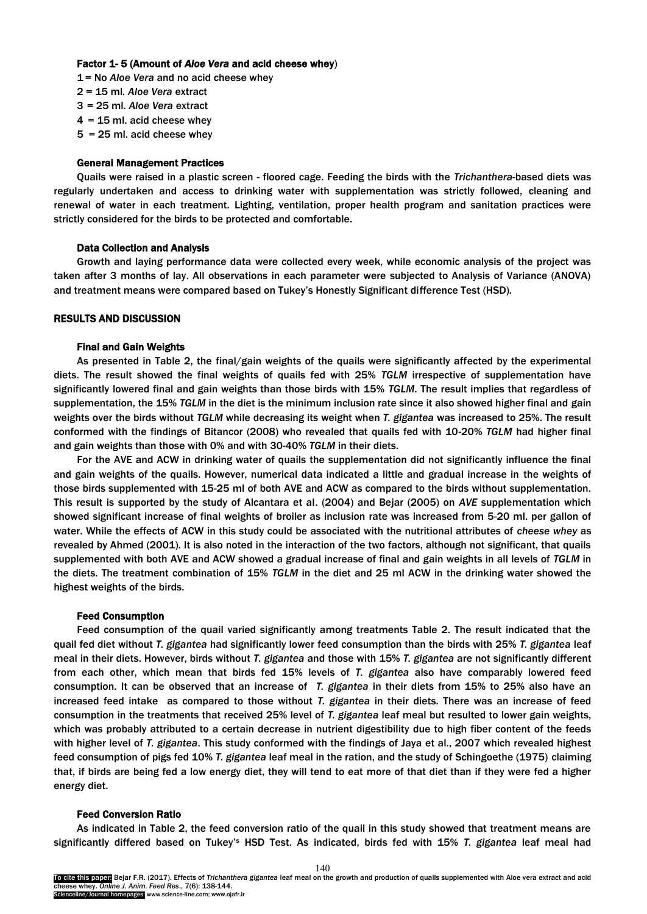# Factor 1- 5 (Amount of *Aloe Vera* and acid cheese whey)

- 1 = No *Aloe Vera* and no acid cheese whey
- 2 = 15 ml*. Aloe Vera* extract
- 3 = 25 ml. *Aloe Vera* extract
- $4 = 15$  ml. acid cheese whey
- 5 = 25 ml. acid cheese whey

## General Management Practices

Quails were raised in a plastic screen - floored cage. Feeding the birds with the *Trichanthera*-based diets was regularly undertaken and access to drinking water with supplementation was strictly followed, cleaning and renewal of water in each treatment. Lighting, ventilation, proper health program and sanitation practices were strictly considered for the birds to be protected and comfortable.

## Data Collection and Analysis

Growth and laying performance data were collected every week, while economic analysis of the project was taken after 3 months of lay. All observations in each parameter were subjected to Analysis of Variance (ANOVA) and treatment means were compared based on Tukey's Honestly Significant difference Test (HSD).

# RESULTS AND DISCUSSION

## Final and Gain Weights

As presented in Table 2, the final/gain weights of the quails were significantly affected by the experimental diets. The result showed the final weights of quails fed with 25% *TGLM* irrespective of supplementation have significantly lowered final and gain weights than those birds with 15% *TGLM*. The result implies that regardless of supplementation, the 15% *TGLM* in the diet is the minimum inclusion rate since it also showed higher final and gain weights over the birds without *TGLM* while decreasing its weight when *T. gigantea* was increased to 25%. The result conformed with the findings of Bitancor (2008) who revealed that quails fed with 10-20% *TGLM* had higher final and gain weights than those with 0% and with 30-40% *TGLM* in their diets.

For the AVE and ACW in drinking water of quails the supplementation did not significantly influence the final and gain weights of the quails. However, numerical data indicated a little and gradual increase in the weights of those birds supplemented with 15-25 ml of both AVE and ACW as compared to the birds without supplementation. This result is supported by the study of [Alcantara et al.](#page-5-0) (2004) and [Bejar \(2005\)](#page-5-0) on *AVE* supplementation which showed significant increase of final weights of broiler as inclusion rate was increased from 5-20 ml. per gallon of water. While the effects of ACW in this study could be associated with the nutritional attributes of *cheese whey* as revealed by [Ahmed \(2001\).](#page-5-0) It is also noted in the interaction of the two factors, although not significant, that quails supplemented with both AVE and ACW showed a gradual increase of final and gain weights in all levels of *TGLM* in the diets. The treatment combination of 15% *TGLM* in the diet and 25 ml ACW in the drinking water showed the highest weights of the birds.

#### Feed Consumption

Feed consumption of the quail varied significantly among treatments Table 2. The result indicated that the quail fed diet without *T. gigantea* had significantly lower feed consumption than the birds with 25% *T. gigantea* leaf meal in their diets. However, birds without *T. gigantea* and those with 15% *T. gigantea* are not significantly different from each other, which mean that birds fed 15% levels of *T. gigantea* also have comparably lowered feed consumption. It can be observed that an increase of *T. gigantea* in their diets from 15% to 25% also have an increased feed intake as compared to those without *T. gigantea* in their diets. There was an increase of feed consumption in the treatments that received 25% level of *T. gigantea* leaf meal but resulted to lower gain weights, which was probably attributed to a certain decrease in nutrient digestibility due to high fiber content of the feeds with higher level of *T. gigantea*. This study conformed with the findings of Jaya [et al., 2007](#page-5-0) which revealed highest feed consumption of pigs fed 10% *T. gigantea* leaf meal in the ration, and the study of [Schingoethe](#page-5-0) (1975) claiming that, if birds are being fed a low energy diet, they will tend to eat more of that diet than if they were fed a higher energy diet.

# Feed Conversion Ratio

As indicated in Table 2, the feed conversion ratio of the quail in this study showed that treatment means are significantly differed based on Tukey'<sup>s</sup> HSD Test. As indicated, birds fed with 15% *T. gigantea* leaf meal had

140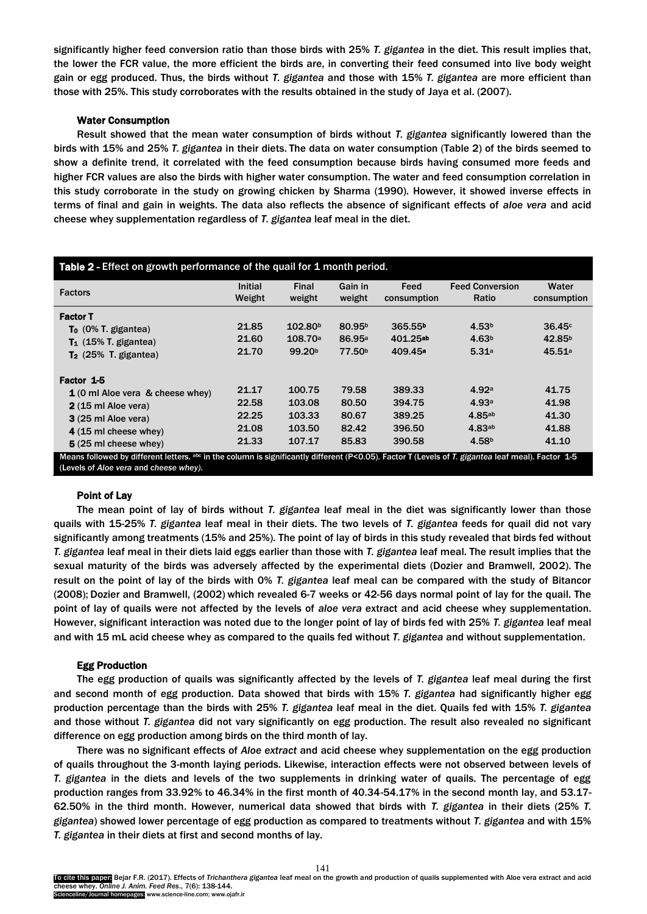significantly higher feed conversion ratio than those birds with 25% *T. gigantea* in the diet. This result implies that, the lower the FCR value, the more efficient the birds are, in converting their feed consumed into live body weight gain or egg produced. Thus, the birds without *T. gigantea* and those with 15% *T. gigantea* are more efficient than those with 25%. This study corroborates with the results obtained in the study of [Jaya et al.](#page-5-0) (2007).

# Water Consumption

Result showed that the mean water consumption of birds without *T. gigantea* significantly lowered than the birds with 15% and 25% *T. gigantea* in their diets. The data on water consumption (Table 2) of the birds seemed to show a definite trend, it correlated with the feed consumption because birds having consumed more feeds and higher FCR values are also the birds with higher water consumption. The water and feed consumption correlation in this study corroborate in the study on growing chicken by [Sharma](#page-5-0) (1990). However, it showed inverse effects in terms of final and gain in weights. The data also reflects the absence of significant effects of *aloe vera* and acid cheese whey supplementation regardless of *T. gigantea* leaf meal in the diet.

| <b>Table 2</b> - Effect on growth performance of the quail for 1 month period.                                                                                             |                   |                     |                    |                     |                                 |                      |  |  |  |
|----------------------------------------------------------------------------------------------------------------------------------------------------------------------------|-------------------|---------------------|--------------------|---------------------|---------------------------------|----------------------|--|--|--|
| <b>Factors</b>                                                                                                                                                             | Initial<br>Weight | Final<br>weight     | Gain in<br>weight  | Feed<br>consumption | <b>Feed Conversion</b><br>Ratio | Water<br>consumption |  |  |  |
| <b>Factor T</b>                                                                                                                                                            |                   |                     |                    |                     |                                 |                      |  |  |  |
| $To (0\% T. gigantea)$                                                                                                                                                     | 21.85             | 102.80 <sup>b</sup> | 80.95 <sup>b</sup> | 365.55 <sup>b</sup> | 4.53 <sup>b</sup>               | 36.45c               |  |  |  |
| $T_1$ (15% T. gigantea)                                                                                                                                                    | 21.60             | 108.70a             | 86.95 <sup>a</sup> | 401.25ab            | 4.63 <sup>b</sup>               | 42.85 <sup>b</sup>   |  |  |  |
| $T2$ (25% T. gigantea)                                                                                                                                                     | 21.70             | 99.20 <sup>b</sup>  | 77.50 <sup>b</sup> | 409.45 <sup>a</sup> | 5.31a                           | 45.51 <sup>a</sup>   |  |  |  |
| Factor 1-5                                                                                                                                                                 |                   |                     |                    |                     |                                 |                      |  |  |  |
| 1 (0 ml Aloe vera & cheese whey)                                                                                                                                           | 21.17             | 100.75              | 79.58              | 389.33              | 4.92a                           | 41.75                |  |  |  |
| 2 (15 ml Aloe vera)                                                                                                                                                        | 22.58             | 103.08              | 80.50              | 394.75              | 4.93a                           | 41.98                |  |  |  |
| 3 (25 ml Aloe vera)                                                                                                                                                        | 22.25             | 103.33              | 80.67              | 389.25              | 4.85ab                          | 41.30                |  |  |  |
| 4 (15 ml cheese whey)                                                                                                                                                      | 21.08             | 103.50              | 82.42              | 396.50              | 4.83ab                          | 41.88                |  |  |  |
| 5 (25 ml cheese whey)<br>Means followed by different letters, abs in the column is significantly different (P<0.05) Factor T (Levels of T gigantes leaf meal), Factor, 1-5 | 21.33             | 107.17              | 85.83              | 390.58              | 4.58 <sup>b</sup>               | 41.10                |  |  |  |

Means followed by different letters. abc in the column is significantly different (P<0.05). Factor T (Levels of *T. gigantea* leaf meal). Factor 1-5 (Levels of *Aloe vera* and *cheese whey)*.

## Point of Lay

The mean point of lay of birds without *T. gigantea* leaf meal in the diet was significantly lower than those quails with 15-25% *T. gigantea* leaf meal in their diets. The two levels of *T. gigantea* feeds for quail did not vary significantly among treatments (15% and 25%). The point of lay of birds in this study revealed that birds fed without *T. gigantea* leaf meal in their diets laid eggs earlier than those with *T. gigantea* leaf meal. The result implies that the sexual maturity of the birds was adversely affected by the experimental diets [\(Dozier and Bramwell, 2002\).](#page-5-0) The result on the point of lay of the birds with 0% *T. gigantea* leaf meal can be compared with the study of [Bitancor](#page-5-0)  (2008); [Dozier and Bramwell, \(2002\)](#page-5-0) which revealed 6-7 weeks or 42-56 days normal point of lay for the quail. The point of lay of quails were not affected by the levels of *aloe vera* extract and acid cheese whey supplementation. However, significant interaction was noted due to the longer point of lay of birds fed with 25% *T. gigantea* leaf meal and with 15 mL acid cheese whey as compared to the quails fed without *T. gigantea* and without supplementation.

#### Egg Production

The egg production of quails was significantly affected by the levels of *T. gigantea* leaf meal during the first and second month of egg production. Data showed that birds with 15% *T. gigantea* had significantly higher egg production percentage than the birds with 25% *T. gigantea* leaf meal in the diet. Quails fed with 15% *T. gigantea* and those without *T. gigantea* did not vary significantly on egg production. The result also revealed no significant difference on egg production among birds on the third month of lay.

There was no significant effects of *Aloe extract* and acid cheese whey supplementation on the egg production of quails throughout the 3-month laying periods. Likewise, interaction effects were not observed between levels of *T. gigantea* in the diets and levels of the two supplements in drinking water of quails. The percentage of egg production ranges from 33.92% to 46.34% in the first month of 40.34-54.17% in the second month lay, and 53.17- 62.50% in the third month. However, numerical data showed that birds with *T. gigantea* in their diets (25% *T. gigantea*) showed lower percentage of egg production as compared to treatments without *T. gigantea* and with 15% *T. gigantea* in their diets at first and second months of lay.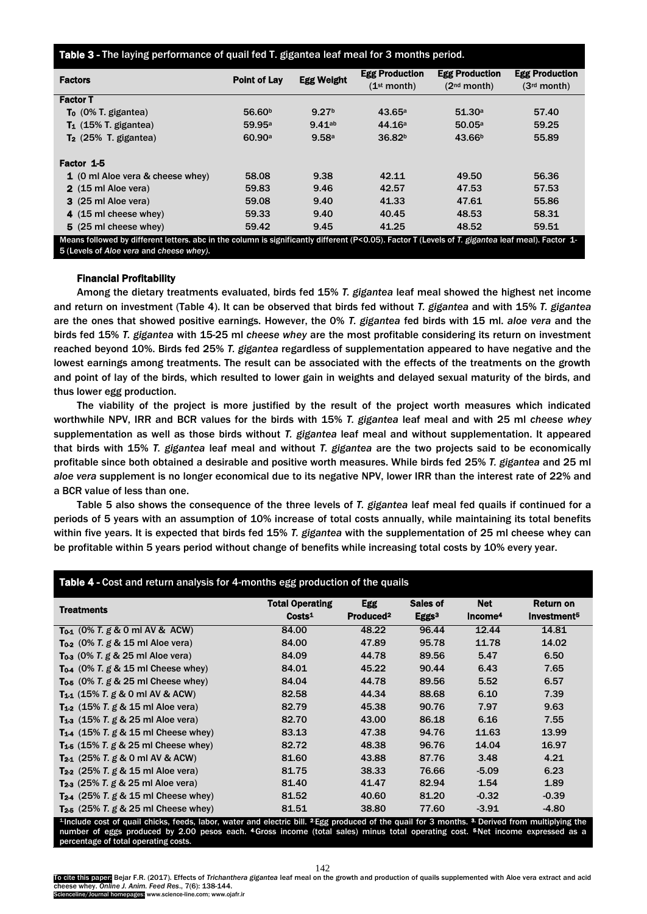## Table 3 - The laying performance of quail fed T. gigantea leaf meal for 3 months period.

| <b>Factors</b>                                                                                                                                    | <b>Point of Lay</b> | <b>Egg Weight</b> | <b>Egg Production</b><br>(1 <sup>st</sup> month) | <b>Egg Production</b><br>(2 <sup>nd</sup> month) | <b>Egg Production</b><br>(3 <sup>rd</sup> month) |  |  |  |
|---------------------------------------------------------------------------------------------------------------------------------------------------|---------------------|-------------------|--------------------------------------------------|--------------------------------------------------|--------------------------------------------------|--|--|--|
| <b>Factor T</b>                                                                                                                                   |                     |                   |                                                  |                                                  |                                                  |  |  |  |
| $To (0\% T. gigantea)$                                                                                                                            | 56.60 <sup>b</sup>  | 9.27 <sup>b</sup> | 43.65a                                           | 51.30a                                           | 57.40                                            |  |  |  |
| $T_1$ (15% T. gigantea)                                                                                                                           | 59.95 <sup>a</sup>  | $9.41$ ab         | 44.16a                                           | 50.05a                                           | 59.25                                            |  |  |  |
| $T2$ (25% T. gigantea)                                                                                                                            | 60.90a              | 9.58a             | 36.82 <sup>b</sup>                               | 43.66 <sup>b</sup>                               | 55.89                                            |  |  |  |
| Factor 1-5                                                                                                                                        |                     |                   |                                                  |                                                  |                                                  |  |  |  |
| 1 (0 ml Aloe vera & cheese whey)                                                                                                                  | 58.08               | 9.38              | 42.11                                            | 49.50                                            | 56.36                                            |  |  |  |
| 2 (15 ml Aloe vera)                                                                                                                               | 59.83               | 9.46              | 42.57                                            | 47.53                                            | 57.53                                            |  |  |  |
| 3 (25 ml Aloe vera)                                                                                                                               | 59.08               | 9.40              | 41.33                                            | 47.61                                            | 55.86                                            |  |  |  |
| 4 (15 ml cheese whey)                                                                                                                             | 59.33               | 9.40              | 40.45                                            | 48.53                                            | 58.31                                            |  |  |  |
| 5 (25 ml cheese whey)                                                                                                                             | 59.42               | 9.45              | 41.25                                            | 48.52                                            | 59.51                                            |  |  |  |
| Means followed by different letters. abc in the column is significantly different (P<0.05). Factor T (Levels of T. gigantea leaf meal). Factor 1- |                     |                   |                                                  |                                                  |                                                  |  |  |  |
| 5 (Levels of Aloe vera and cheese whey).                                                                                                          |                     |                   |                                                  |                                                  |                                                  |  |  |  |

# Financial Profitability

Among the dietary treatments evaluated, birds fed 15% *T. gigantea* leaf meal showed the highest net income and return on investment (Table 4). It can be observed that birds fed without *T. gigantea* and with 15% *T. gigantea* are the ones that showed positive earnings. However, the 0% *T. gigantea* fed birds with 15 ml. *aloe vera* and the birds fed 15% *T. gigantea* with 15-25 ml *cheese whey* are the most profitable considering its return on investment reached beyond 10%. Birds fed 25% *T. gigantea* regardless of supplementation appeared to have negative and the lowest earnings among treatments. The result can be associated with the effects of the treatments on the growth and point of lay of the birds, which resulted to lower gain in weights and delayed sexual maturity of the birds, and thus lower egg production.

The viability of the project is more justified by the result of the project worth measures which indicated worthwhile NPV, IRR and BCR values for the birds with 15% *T. gigantea* leaf meal and with 25 ml *cheese whey* supplementation as well as those birds without *T. gigantea* leaf meal and without supplementation. It appeared that birds with 15% *T. gigantea* leaf meal and without *T. gigantea* are the two projects said to be economically profitable since both obtained a desirable and positive worth measures. While birds fed 25% *T. gigantea* and 25 ml *aloe vera* supplement is no longer economical due to its negative NPV, lower IRR than the interest rate of 22% and a BCR value of less than one.

Table 5 also shows the consequence of the three levels of *T. gigantea* leaf meal fed quails if continued for a periods of 5 years with an assumption of 10% increase of total costs annually, while maintaining its total benefits within five years. It is expected that birds fed 15% *T. gigantea* with the supplementation of 25 ml cheese whey can be profitable within 5 years period without change of benefits while increasing total costs by 10% every year.

| Table 4 - Cost and return analysis for 4-months egg production of the quails |                        |                       |                   |                     |                         |  |  |  |  |  |
|------------------------------------------------------------------------------|------------------------|-----------------------|-------------------|---------------------|-------------------------|--|--|--|--|--|
| <b>Treatments</b>                                                            | <b>Total Operating</b> | <b>Egg</b>            | Sales of          | <b>Net</b>          | Return on               |  |  |  |  |  |
|                                                                              | Costs <sup>1</sup>     | Produced <sup>2</sup> | Eggs <sup>3</sup> | Income <sup>4</sup> | Investment <sup>5</sup> |  |  |  |  |  |
| $T_{0.1}$ (0% T. g & 0 ml AV & ACW)                                          | 84.00                  | 48.22                 | 96.44             | 12.44               | 14.81                   |  |  |  |  |  |
| $To_2$ (0% T. g & 15 ml Aloe vera)                                           | 84.00                  | 47.89                 | 95.78             | 11.78               | 14.02                   |  |  |  |  |  |
| $To_3$ (0% T. g & 25 ml Aloe vera)                                           | 84.09                  | 44.78                 | 89.56             | 5.47                | 6.50                    |  |  |  |  |  |
| $To4$ (0% T. g & 15 ml Cheese whey)                                          | 84.01                  | 45.22                 | 90.44             | 6.43                | 7.65                    |  |  |  |  |  |
| $To5 (0\% T.g & 25 ml$ Cheese whey)                                          | 84.04                  | 44.78                 | 89.56             | 5.52                | 6.57                    |  |  |  |  |  |
| <b>T<sub>1-1</sub></b> (15% T, g & 0 ml AV & ACW)                            | 82.58                  | 44.34                 | 88.68             | 6.10                | 7.39                    |  |  |  |  |  |
| $T_{1,2}$ (15% T. g & 15 ml Aloe vera)                                       | 82.79                  | 45.38                 | 90.76             | 7.97                | 9.63                    |  |  |  |  |  |
| <b>T<sub>1-3</sub></b> (15% T, g & 25 ml Aloe vera)                          | 82.70                  | 43.00                 | 86.18             | 6.16                | 7.55                    |  |  |  |  |  |
| <b>T<sub>14</sub></b> (15% T. g & 15 ml Cheese whey)                         | 83.13                  | 47.38                 | 94.76             | 11.63               | 13.99                   |  |  |  |  |  |
| <b>T<sub>1-5</sub></b> (15% T, g & 25 ml Cheese whey)                        | 82.72                  | 48.38                 | 96.76             | 14.04               | 16.97                   |  |  |  |  |  |
| $T_{21}$ (25% T. g & 0 ml AV & ACW)                                          | 81.60                  | 43.88                 | 87.76             | 3.48                | 4.21                    |  |  |  |  |  |
| $T_{22}$ (25% T. g & 15 ml Aloe vera)                                        | 81.75                  | 38.33                 | 76.66             | $-5.09$             | 6.23                    |  |  |  |  |  |
| $T_{23}$ (25% T. g & 25 ml Aloe vera)                                        | 81.40                  | 41.47                 | 82.94             | 1.54                | 1.89                    |  |  |  |  |  |
| $T_{24}$ (25% T. g & 15 ml Cheese whey)                                      | 81.52                  | 40.60                 | 81.20             | $-0.32$             | $-0.39$                 |  |  |  |  |  |
| $T_{25}$ (25% T. g & 25 ml Cheese whey)                                      | 81.51                  | 38.80                 | 77.60             | $-3.91$             | $-4.80$                 |  |  |  |  |  |

Include cost of quail chicks, feeds, labor, water and electric bill. <sup>2</sup>Egg produced of the quail for 3 months. <sup>3.</sup> Derived from multiplying the number of eggs produced by 2.00 pesos each. 4Gross income (total sales) minus total operating cost. 5Net income expressed percentage of total operating costs.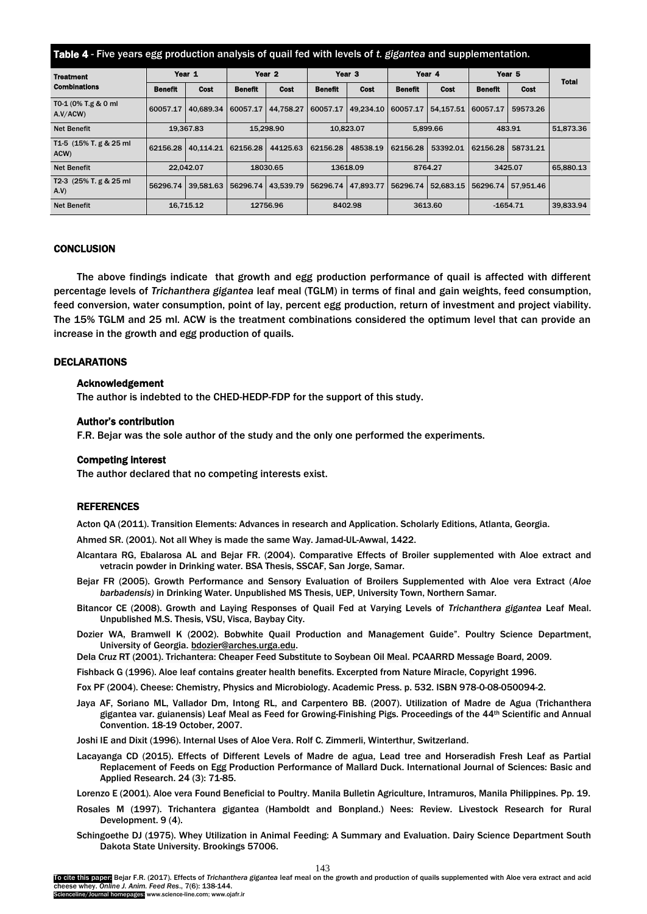<span id="page-5-0"></span>

| Table 4 - Five years egg production analysis of quail fed with levels of t. gigantea and supplementation. |                |             |                   |                      |                   |             |                |             |                   |             |              |
|-----------------------------------------------------------------------------------------------------------|----------------|-------------|-------------------|----------------------|-------------------|-------------|----------------|-------------|-------------------|-------------|--------------|
| <b>Treatment</b>                                                                                          | Year 1         |             | Year <sub>2</sub> |                      | Year <sub>3</sub> |             | Year 4         |             | Year <sub>5</sub> |             | <b>Total</b> |
| <b>Combinations</b>                                                                                       | <b>Benefit</b> | <b>Cost</b> | <b>Benefit</b>    | <b>Cost</b>          | <b>Benefit</b>    | <b>Cost</b> | <b>Benefit</b> | <b>Cost</b> | <b>Benefit</b>    | <b>Cost</b> |              |
| T0-1 (0% T.g & 0 ml<br>A.V/ACW                                                                            | 60057.17       | 40.689.34   | 60057.17          | 44.758.27            | 60057.17          | 49.234.10   | 60057.17       | 54,157.51   | 60057.17          | 59573.26    |              |
| <b>Net Benefit</b>                                                                                        |                | 19.367.83   | 15.298.90         |                      | 10,823.07         |             | 5,899.66       |             | 483.91            |             | 51,873.36    |
| T <sub>1</sub> -5 (15% T, g & 25 ml)<br>ACW)                                                              | 62156.28       | 40.114.21   | 62156.28          | 44125.63             | 62156.28          | 48538.19    | 62156.28       | 53392.01    | 62156.28          | 58731.21    |              |
| <b>Net Benefit</b>                                                                                        |                | 22.042.07   | 18030.65          |                      | 13618.09          |             | 8764.27        |             | 3425.07           |             | 65,880.13    |
| T2-3 (25% T. g & 25 ml<br>A.V.                                                                            | 56296.74       | 39.581.63   |                   | 56296.74   43.539.79 | 56296.74          | 47.893.77   | 56296.74       | 52.683.15   | 56296.74          | 57.951.46   |              |
| <b>Net Benefit</b>                                                                                        |                | 16.715.12   | 12756.96          |                      | 8402.98           |             | 3613.60        |             | $-1654.71$        |             | 39.833.94    |

# **CONCLUSION**

The above findings indicate that growth and egg production performance of quail is affected with different percentage levels of *Trichanthera gigantea* leaf meal (TGLM) in terms of final and gain weights, feed consumption, feed conversion, water consumption, point of lay, percent egg production, return of investment and project viability. The 15% TGLM and 25 ml. ACW is the treatment combinations considered the optimum level that can provide an increase in the growth and egg production of quails.

## DECLARATIONS

#### Acknowledgement

The author is indebted to the CHED-HEDP-FDP for the support of this study.

#### Author's contribution

F.R. Bejar was the sole author of the study and the only one performed the experiments.

# Competing interest

The author declared that no competing interests exist.

## **REFERENCES**

Acton QA (2011). Transition Elements: Advances in research and Application. Scholarly Editions, Atlanta, Georgia.

Ahmed SR. (2001). Not all Whey is made the same Way. Jamad-UL-Awwal, 1422.

- Alcantara RG, Ebalarosa AL and Bejar FR. (2004). Comparative Effects of Broiler supplemented with Aloe extract and vetracin powder in Drinking water. BSA Thesis, SSCAF, San Jorge, Samar.
- Bejar FR (2005). Growth Performance and Sensory Evaluation of Broilers Supplemented with Aloe vera Extract (*Aloe barbadensis)* in Drinking Water. Unpublished MS Thesis, UEP, University Town, Northern Samar.
- Bitancor CE (2008). Growth and Laying Responses of Quail Fed at Varying Levels of *Trichanthera gigantea* Leaf Meal. Unpublished M.S. Thesis, VSU, Visca, Baybay City.
- Dozier WA, Bramwell K (2002). Bobwhite Quail Production and Management Guide". Poultry Science Department, University of Georgia. [bdozier@arches.urga.edu.](mailto:bdozier@arches.urga.edu)
- Dela Cruz RT (2001). Trichantera: Cheaper Feed Substitute to Soybean Oil Meal. PCAARRD Message Board, 2009.
- Fishback G (1996). Aloe leaf contains greater health benefits. Excerpted from Nature Miracle, Copyright 1996.
- Fox PF (2004). Cheese: Chemistry, Physics and Microbiology. Academic Press. p. 532. ISBN 978-0-08-050094-2.
- Jaya AF, Soriano ML, Vallador Dm, Intong RL, and Carpentero BB. (2007). Utilization of Madre de Agua (Trichanthera gigantea var. guianensis) Leaf Meal as Feed for Growing-Finishing Pigs. Proceedings of the 44th Scientific and Annual Convention. 18-19 October, 2007.

Joshi IE and Dixit (1996). Internal Uses of Aloe Vera. Rolf C. Zimmerli, Winterthur, Switzerland.

Lacayanga CD (2015). Effects of Different Levels of Madre de agua, Lead tree and Horseradish Fresh Leaf as Partial Replacement of Feeds on Egg Production Performance of Mallard Duck. International Journal of Sciences: Basic and Applied Research. 24 (3): 71-85.

Lorenzo E (2001). Aloe vera Found Beneficial to Poultry. Manila Bulletin Agriculture, Intramuros, Manila Philippines. Pp. 19.

- Rosales M (1997). Trichantera gigantea (Hamboldt and Bonpland.) Nees: Review. Livestock Research for Rural Development. 9 (4).
- Schingoethe DJ (1975). Whey Utilization in Animal Feeding: A Summary and Evaluation. Dairy Science Department South Dakota State University. Brookings 57006.